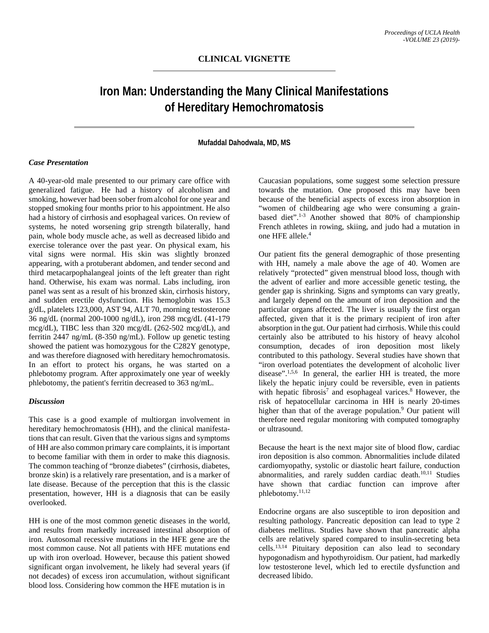# **Iron Man: Understanding the Many Clinical Manifestations of Hereditary Hemochromatosis**

#### **Mufaddal Dahodwala, MD, MS**

## *Case Presentation*

A 40-year-old male presented to our primary care office with generalized fatigue. He had a history of alcoholism and smoking, however had been sober from alcohol for one year and stopped smoking four months prior to his appointment. He also had a history of cirrhosis and esophageal varices. On review of systems, he noted worsening grip strength bilaterally, hand pain, whole body muscle ache, as well as decreased libido and exercise tolerance over the past year. On physical exam, his vital signs were normal. His skin was slightly bronzed appearing, with a protuberant abdomen, and tender second and third metacarpophalangeal joints of the left greater than right hand. Otherwise, his exam was normal. Labs including, iron panel was sent as a result of his bronzed skin, cirrhosis history, and sudden erectile dysfunction. His hemoglobin was 15.3 g/dL, platelets 123,000, AST 94, ALT 70, morning testosterone 36 ng/dL (normal 200-1000 ng/dL), iron 298 mcg/dL (41-179 mcg/dL), TIBC less than 320 mcg/dL (262-502 mcg/dL), and ferritin 2447 ng/mL (8-350 ng/mL). Follow up genetic testing showed the patient was homozygous for the C282Y genotype, and was therefore diagnosed with hereditary hemochromatosis. In an effort to protect his organs, he was started on a phlebotomy program. After approximately one year of weekly phlebotomy, the patient's ferritin decreased to 363 ng/mL.

#### *Discussion*

This case is a good example of multiorgan involvement in hereditary hemochromatosis (HH), and the clinical manifestations that can result. Given that the various signs and symptoms of HH are also common primary care complaints, it is important to become familiar with them in order to make this diagnosis. The common teaching of "bronze diabetes" (cirrhosis, diabetes, bronze skin) is a relatively rare presentation, and is a marker of late disease. Because of the perception that this is the classic presentation, however, HH is a diagnosis that can be easily overlooked.

HH is one of the most common genetic diseases in the world, and results from markedly increased intestinal absorption of iron. Autosomal recessive mutations in the HFE gene are the most common cause. Not all patients with HFE mutations end up with iron overload. However, because this patient showed significant organ involvement, he likely had several years (if not decades) of excess iron accumulation, without significant blood loss. Considering how common the HFE mutation is in

Caucasian populations, some suggest some selection pressure towards the mutation. One proposed this may have been because of the beneficial aspects of excess iron absorption in "women of childbearing age who were consuming a grainbased diet". 1-3 Another showed that 80% of championship French athletes in rowing, skiing, and judo had a mutation in one HFE allele. 4

Our patient fits the general demographic of those presenting with HH, namely a male above the age of 40. Women are relatively "protected" given menstrual blood loss, though with the advent of earlier and more accessible genetic testing, the gender gap is shrinking. Signs and symptoms can vary greatly, and largely depend on the amount of iron deposition and the particular organs affected. The liver is usually the first organ affected, given that it is the primary recipient of iron after absorption in the gut. Our patient had cirrhosis. While this could certainly also be attributed to his history of heavy alcohol consumption, decades of iron deposition most likely contributed to this pathology. Several studies have shown that "iron overload potentiates the development of alcoholic liver disease".<sup>1,5,6</sup> In general, the earlier HH is treated, the more likely the hepatic injury could be reversible, even in patients with hepatic fibrosis<sup>7</sup> and esophageal varices.<sup>8</sup> However, the risk of hepatocellular carcinoma in HH is nearly 20-times higher than that of the average population.<sup>9</sup> Our patient will therefore need regular monitoring with computed tomography or ultrasound.

Because the heart is the next major site of blood flow, cardiac iron deposition is also common. Abnormalities include dilated cardiomyopathy, systolic or diastolic heart failure, conduction abnormalities, and rarely sudden cardiac death.<sup>10,11</sup> Studies have shown that cardiac function can improve after phlebotomy. 11,12

Endocrine organs are also susceptible to iron deposition and resulting pathology. Pancreatic deposition can lead to type 2 diabetes mellitus. Studies have shown that pancreatic alpha cells are relatively spared compared to insulin-secreting beta cells. 13,14 Pituitary deposition can also lead to secondary hypogonadism and hypothyroidism. Our patient, had markedly low testosterone level, which led to erectile dysfunction and decreased libido.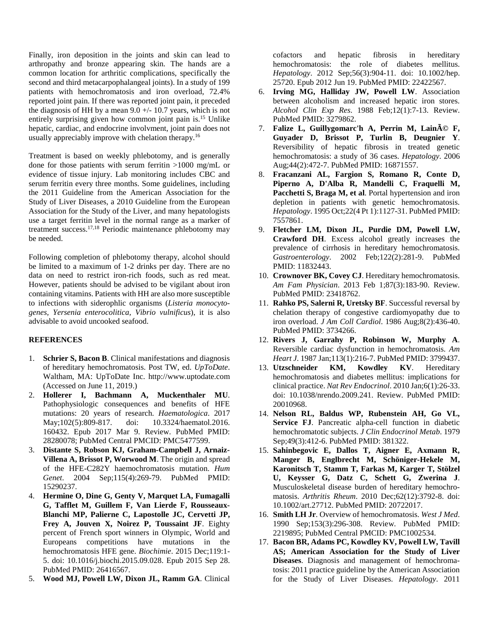Finally, iron deposition in the joints and skin can lead to arthropathy and bronze appearing skin. The hands are a common location for arthritic complications, specifically the second and third metacarpophalangeal joints). In a study of 199 patients with hemochromatosis and iron overload, 72.4% reported joint pain. If there was reported joint pain, it preceded the diagnosis of HH by a mean  $9.0 +/- 10.7$  years, which is not entirely surprising given how common joint pain is. <sup>15</sup> Unlike hepatic, cardiac, and endocrine involvment, joint pain does not usually appreciably improve with chelation therapy.<sup>16</sup>

Treatment is based on weekly phlebotomy, and is generally done for those patients with serum ferritin >1000 mg/mL or evidence of tissue injury. Lab monitoring includes CBC and serum ferritin every three months. Some guidelines, including the 2011 Guideline from the American Association for the Study of Liver Diseases, a 2010 Guideline from the European Association for the Study of the Liver, and many hepatologists use a target ferritin level in the normal range as a marker of treatment success. 17,18 Periodic maintenance phlebotomy may be needed.

Following completion of phlebotomy therapy, alcohol should be limited to a maximum of 1-2 drinks per day. There are no data on need to restrict iron-rich foods, such as red meat. However, patients should be advised to be vigilant about iron containing vitamins. Patients with HH are also more susceptible to infections with siderophlic organisms (*Listeria monocytogenes, Yersenia enterocolitica, Vibrio vulnificus*), it is also advisable to avoid uncooked seafood.

### **REFERENCES**

- 1. **Schrier S, Bacon B**. Clinical manifestations and diagnosis of hereditary hemochromatosis. Post TW, ed. *UpToDate*. Waltham, MA: UpToDate Inc. http://www.uptodate.com (Accessed on June 11, 2019.)
- 2. **Hollerer I, Bachmann A, Muckenthaler MU**. Pathophysiologic consequences and benefits of HFE mutations: 20 years of research. *Haematologica*. 2017 May;102(5):809-817. doi: 10.3324/haematol.2016. 160432. Epub 2017 Mar 9. Review. PubMed PMID: 28280078; PubMed Central PMCID: PMC5477599.
- 3. **Distante S, Robson KJ, Graham-Campbell J, Arnaiz-Villena A, Brissot P, Worwood M**. The origin and spread of the HFE-C282Y haemochromatosis mutation. *Hum Genet*. 2004 Sep;115(4):269-79. PubMed PMID: 15290237.
- 4. **Hermine O, Dine G, Genty V, Marquet LA, Fumagalli G, Tafflet M, Guillem F, Van Lierde F, Rousseaux-Blanchi MP, Palierne C, Lapostolle JC, Cervetti JP, Frey A, Jouven X, Noirez P, Toussaint JF**. Eighty percent of French sport winners in Olympic, World and Europeans competitions have mutations in the hemochromatosis HFE gene. *Biochimie*. 2015 Dec;119:1- 5. doi: 10.1016/j.biochi.2015.09.028. Epub 2015 Sep 28. PubMed PMID: 26416567.
- 5. **Wood MJ, Powell LW, Dixon JL, Ramm GA**. Clinical

cofactors and hepatic fibrosis in hereditary hemochromatosis: the role of diabetes mellitus. *Hepatology*. 2012 Sep;56(3):904-11. doi: 10.1002/hep. 25720. Epub 2012 Jun 19. PubMed PMID: 22422567.

- 6. **Irving MG, Halliday JW, Powell LW**. Association between alcoholism and increased hepatic iron stores. *Alcohol Clin Exp Res*. 1988 Feb;12(1):7-13. Review. PubMed PMID: 3279862.
- 7. **Falize L, Guillygomarc'h A, Perrin M, Lainé F, Guyader D, Brissot P, Turlin B, Deugnier Y**. Reversibility of hepatic fibrosis in treated genetic hemochromatosis: a study of 36 cases. *Hepatology*. 2006 Aug;44(2):472-7. PubMed PMID: 16871557.
- 8. **Fracanzani AL, Fargion S, Romano R, Conte D, Piperno A, D'Alba R, Mandelli C, Fraquelli M, Pacchetti S, Braga M, et al**. Portal hypertension and iron depletion in patients with genetic hemochromatosis. *Hepatology*. 1995 Oct;22(4 Pt 1):1127-31. PubMed PMID: 7557861.
- 9. **Fletcher LM, Dixon JL, Purdie DM, Powell LW, Crawford DH**. Excess alcohol greatly increases the prevalence of cirrhosis in hereditary hemochromatosis. *Gastroenterology*. 2002 Feb;122(2):281-9. PubMed PMID: 11832443.
- 10. **Crownover BK, Covey CJ**. Hereditary hemochromatosis. *Am Fam Physician*. 2013 Feb 1;87(3):183-90. Review. PubMed PMID: 23418762.
- 11. **Rahko PS, Salerni R, Uretsky BF**. Successful reversal by chelation therapy of congestive cardiomyopathy due to iron overload. *J Am Coll Cardiol*. 1986 Aug;8(2):436-40. PubMed PMID: 3734266.
- 12. **Rivers J, Garrahy P, Robinson W, Murphy A**. Reversible cardiac dysfunction in hemochromatosis. *Am Heart J*. 1987 Jan;113(1):216-7. PubMed PMID: 3799437.
- 13. **Utzschneider KM, Kowdley KV**. Hereditary hemochromatosis and diabetes mellitus: implications for clinical practice. *Nat Rev Endocrinol*. 2010 Jan;6(1):26-33. doi: 10.1038/nrendo.2009.241. Review. PubMed PMID: 20010968.
- 14. **Nelson RL, Baldus WP, Rubenstein AH, Go VL, Service FJ**. Pancreatic alpha-cell function in diabetic hemochromatotic subjects. *J Clin Endocrinol Metab*. 1979 Sep;49(3):412-6. PubMed PMID: 381322.
- 15. **Sahinbegovic E, Dallos T, Aigner E, Axmann R, Manger B, Englbrecht M, Schöniger-Hekele M, Karonitsch T, Stamm T, Farkas M, Karger T, Stölzel U, Keysser G, Datz C, Schett G, Zwerina J**. Musculoskeletal disease burden of hereditary hemochromatosis. *Arthritis Rheum*. 2010 Dec;62(12):3792-8. doi: 10.1002/art.27712. PubMed PMID: 20722017.
- 16. **Smith LH Jr**. Overview of hemochromatosis. *West J Med*. 1990 Sep;153(3):296-308. Review. PubMed PMID: 2219895; PubMed Central PMCID: PMC1002534.
- 17. **Bacon BR, Adams PC, Kowdley KV, Powell LW, Tavill AS; American Association for the Study of Liver Diseases**. Diagnosis and management of hemochromatosis: 2011 practice guideline by the American Association for the Study of Liver Diseases. *Hepatology*. 2011